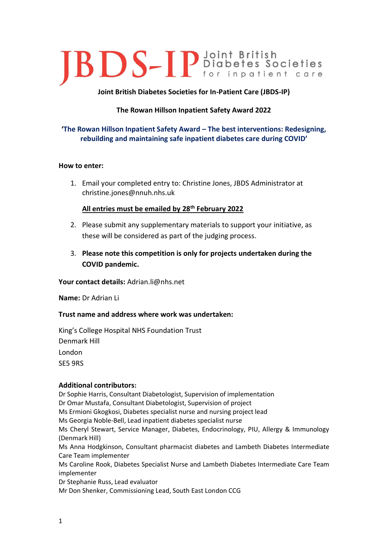# **JBDS-IP** Diabetes Societies

# **Joint British Diabetes Societies for In-Patient Care (JBDS-IP)**

# **The Rowan Hillson Inpatient Safety Award 2022**

# **'The Rowan Hillson Inpatient Safety Award – The best interventions: Redesigning, rebuilding and maintaining safe inpatient diabetes care during COVID'**

### **How to enter:**

1. Email your completed entry to: Christine Jones, JBDS Administrator at christine.jones@nnuh.nhs.uk

## **All entries must be emailed by 28th February 2022**

- 2. Please submit any supplementary materials to support your initiative, as these will be considered as part of the judging process.
- 3. **Please note this competition is only for projects undertaken during the COVID pandemic.**

**Your contact details:** Adrian.li@nhs.net

**Name:** Dr Adrian Li

# **Trust name and address where work was undertaken:**

King's College Hospital NHS Foundation Trust Denmark Hill London SE5 9RS

# **Additional contributors:**

Dr Sophie Harris, Consultant Diabetologist, Supervision of implementation Dr Omar Mustafa, Consultant Diabetologist, Supervision of project Ms Ermioni Gkogkosi, Diabetes specialist nurse and nursing project lead Ms Georgia Noble-Bell, Lead inpatient diabetes specialist nurse Ms Cheryl Stewart, Service Manager, Diabetes, Endocrinology, PIU, Allergy & Immunology (Denmark Hill) Ms Anna Hodgkinson, Consultant pharmacist diabetes and Lambeth Diabetes Intermediate Care Team implementer Ms Caroline Rook, Diabetes Specialist Nurse and Lambeth Diabetes Intermediate Care Team implementer Dr Stephanie Russ, Lead evaluator Mr Don Shenker, Commissioning Lead, South East London CCG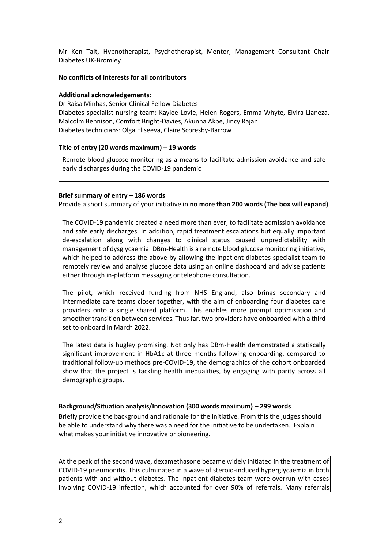Mr Ken Tait, Hypnotherapist, Psychotherapist, Mentor, Management Consultant Chair Diabetes UK-Bromley

### **No conflicts of interests for all contributors**

## **Additional acknowledgements:**

Dr Raisa Minhas, Senior Clinical Fellow Diabetes Diabetes specialist nursing team: Kaylee Lovie, Helen Rogers, Emma Whyte, Elvira Llaneza, Malcolm Bennison, Comfort Bright-Davies, Akunna Akpe, Jincy Rajan Diabetes technicians: Olga Eliseeva, Claire Scoresby-Barrow

## **Title of entry (20 words maximum) – 19 words**

Remote blood glucose monitoring as a means to facilitate admission avoidance and safe early discharges during the COVID-19 pandemic

## **Brief summary of entry – 186 words**

Provide a short summary of your initiative in **no more than 200 words (The box will expand)**

The COVID-19 pandemic created a need more than ever, to facilitate admission avoidance and safe early discharges. In addition, rapid treatment escalations but equally important de-escalation along with changes to clinical status caused unpredictability with management of dysglycaemia. DBm-Health is a remote blood glucose monitoring initiative, which helped to address the above by allowing the inpatient diabetes specialist team to remotely review and analyse glucose data using an online dashboard and advise patients either through in-platform messaging or telephone consultation.

The pilot, which received funding from NHS England, also brings secondary and intermediate care teams closer together, with the aim of onboarding four diabetes care providers onto a single shared platform. This enables more prompt optimisation and smoother transition between services. Thus far, two providers have onboarded with a third set to onboard in March 2022.

The latest data is hugley promising. Not only has DBm-Health demonstrated a statiscally significant improvement in HbA1c at three months following onboarding, compared to traditional follow-up methods pre-COVID-19, the demographics of the cohort onboarded show that the project is tackling health inequalities, by engaging with parity across all demographic groups.

### **Background/Situation analysis/Innovation (300 words maximum) – 299 words**

Briefly provide the background and rationale for the initiative. From this the judges should be able to understand why there was a need for the initiative to be undertaken. Explain what makes your initiative innovative or pioneering.

At the peak of the second wave, dexamethasone became widely initiated in the treatment of COVID-19 pneumonitis. This culminated in a wave of steroid-induced hyperglycaemia in both patients with and without diabetes. The inpatient diabetes team were overrun with cases involving COVID-19 infection, which accounted for over 90% of referrals. Many referrals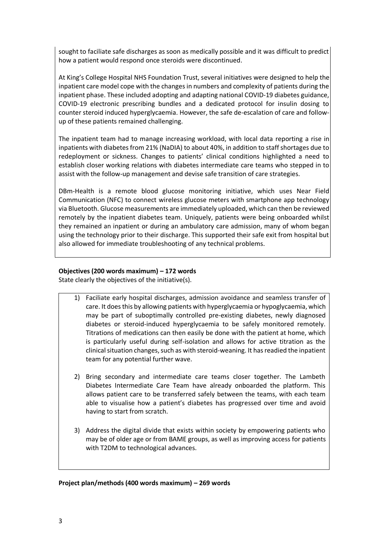sought to faciliate safe discharges as soon as medically possible and it was difficult to predict how a patient would respond once steroids were discontinued.

At King's College Hospital NHS Foundation Trust, several initiatives were designed to help the inpatient care model cope with the changes in numbers and complexity of patients during the inpatient phase. These included adopting and adapting national COVID-19 diabetes guidance, COVID-19 electronic prescribing bundles and a dedicated protocol for insulin dosing to counter steroid induced hyperglycaemia. However, the safe de-escalation of care and followup of these patients remained challenging.

The inpatient team had to manage increasing workload, with local data reporting a rise in inpatients with diabetes from 21% (NaDIA) to about 40%, in addition to staff shortages due to redeployment or sickness. Changes to patients' clinical conditions highlighted a need to establish closer working relations with diabetes intermediate care teams who stepped in to assist with the follow-up management and devise safe transition of care strategies.

DBm-Health is a remote blood glucose monitoring initiative, which uses Near Field Communication (NFC) to connect wireless glucose meters with smartphone app technology via Bluetooth. Glucose measurements are immediately uploaded, which can then be reviewed remotely by the inpatient diabetes team. Uniquely, patients were being onboarded whilst they remained an inpatient or during an ambulatory care admission, many of whom began using the technology prior to their discharge. This supported their safe exit from hospital but also allowed for immediate troubleshooting of any technical problems.

## **Objectives (200 words maximum) – 172 words**

State clearly the objectives of the initiative(s).

- 1) Faciliate early hospital discharges, admission avoidance and seamless transfer of care. It does this by allowing patients with hyperglycaemia or hypoglycaemia, which may be part of suboptimally controlled pre-existing diabetes, newly diagnosed diabetes or steroid-induced hyperglycaemia to be safely monitored remotely. Titrations of medications can then easily be done with the patient at home, which is particularly useful during self-isolation and allows for active titration as the clinical situation changes, such as with steroid-weaning. It has readied the inpatient team for any potential further wave.
- 2) Bring secondary and intermediate care teams closer together. The Lambeth Diabetes Intermediate Care Team have already onboarded the platform. This allows patient care to be transferred safely between the teams, with each team able to visualise how a patient's diabetes has progressed over time and avoid having to start from scratch.
- 3) Address the digital divide that exists within society by empowering patients who may be of older age or from BAME groups, as well as improving access for patients with T2DM to technological advances.

**Project plan/methods (400 words maximum) – 269 words**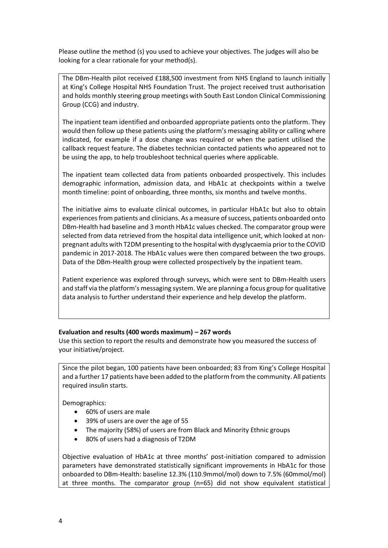Please outline the method (s) you used to achieve your objectives. The judges will also be looking for a clear rationale for your method(s).

The DBm-Health pilot received £188,500 investment from NHS England to launch initially at King's College Hospital NHS Foundation Trust. The project received trust authorisation and holds monthly steering group meetings with South East London Clinical Commissioning Group (CCG) and industry.

The inpatient team identified and onboarded appropriate patients onto the platform. They would then follow up these patients using the platform's messaging ability or calling where indicated, for example if a dose change was required or when the patient utilised the callback request feature. The diabetes technician contacted patients who appeared not to be using the app, to help troubleshoot technical queries where applicable.

The inpatient team collected data from patients onboarded prospectively. This includes demographic information, admission data, and HbA1c at checkpoints within a twelve month timeline: point of onboarding, three months, six months and twelve months.

The initiative aims to evaluate clinical outcomes, in particular HbA1c but also to obtain experiences from patients and clinicians. As a measure of success, patients onboarded onto DBm-Health had baseline and 3 month HbA1c values checked. The comparator group were selected from data retrieved from the hospital data intelligence unit, which looked at nonpregnant adults with T2DM presenting to the hospital with dysglycaemia prior to the COVID pandemic in 2017-2018. The HbA1c values were then compared between the two groups. Data of the DBm-Health group were collected prospectively by the inpatient team.

Patient experience was explored through surveys, which were sent to DBm-Health users and staff via the platform's messaging system. We are planning a focus group for qualitative data analysis to further understand their experience and help develop the platform.

### **Evaluation and results (400 words maximum) – 267 words**

Use this section to report the results and demonstrate how you measured the success of your initiative/project.

Since the pilot began, 100 patients have been onboarded; 83 from King's College Hospital and a further 17 patients have been added to the platform from the community. All patients required insulin starts.

Demographics:

- 60% of users are male
- 39% of users are over the age of 55
- The majority (58%) of users are from Black and Minority Ethnic groups
- 80% of users had a diagnosis of T2DM

Objective evaluation of HbA1c at three months' post-initiation compared to admission parameters have demonstrated statistically significant improvements in HbA1c for those onboarded to DBm-Health: baseline 12.3% (110.9mmol/mol) down to 7.5% (60mmol/mol) at three months. The comparator group (n=65) did not show equivalent statistical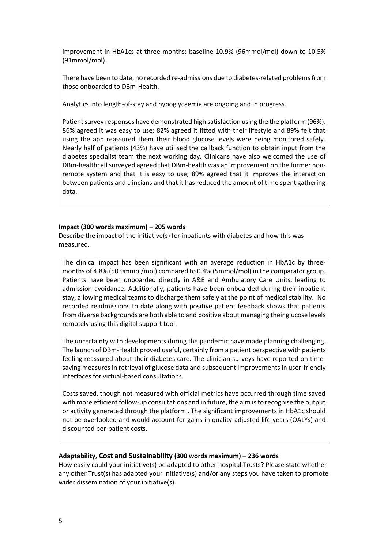improvement in HbA1cs at three months: baseline 10.9% (96mmol/mol) down to 10.5% (91mmol/mol).

There have been to date, no recorded re-admissions due to diabetes-related problems from those onboarded to DBm-Health.

Analytics into length-of-stay and hypoglycaemia are ongoing and in progress.

Patient survey responses have demonstrated high satisfaction using the the platform (96%). 86% agreed it was easy to use; 82% agreed it fitted with their lifestyle and 89% felt that using the app reassured them their blood glucose levels were being monitored safely. Nearly half of patients (43%) have utilised the callback function to obtain input from the diabetes specialist team the next working day. Clinicans have also welcomed the use of DBm-health: all surveyed agreed that DBm-health was an improvement on the former nonremote system and that it is easy to use; 89% agreed that it improves the interaction between patients and clincians and that it has reduced the amount of time spent gathering data.

## **Impact (300 words maximum) – 205 words**

Describe the impact of the initiative(s) for inpatients with diabetes and how this was measured.

The clinical impact has been significant with an average reduction in HbA1c by threemonths of 4.8% (50.9mmol/mol) compared to 0.4% (5mmol/mol) in the comparator group. Patients have been onboarded directly in A&E and Ambulatory Care Units, leading to admission avoidance. Additionally, patients have been onboarded during their inpatient stay, allowing medical teams to discharge them safely at the point of medical stability. No recorded readmissions to date along with positive patient feedback shows that patients from diverse backgrounds are both able to and positive about managing their glucose levels remotely using this digital support tool.

The uncertainty with developments during the pandemic have made planning challenging. The launch of DBm-Health proved useful, certainly from a patient perspective with patients feeling reassured about their diabetes care. The clinician surveys have reported on timesaving measures in retrieval of glucose data and subsequent improvements in user-friendly interfaces for virtual-based consultations.

Costs saved, though not measured with official metrics have occurred through time saved with more efficient follow-up consultations and in future, the aim is to recognise the output or activity generated through the platform . The significant improvements in HbA1c should not be overlooked and would account for gains in quality-adjusted life years (QALYs) and discounted per-patient costs.

# **Adaptability, Cost and Sustainability (300 words maximum) – 236 words**

How easily could your initiative(s) be adapted to other hospital Trusts? Please state whether any other Trust(s) has adapted your initiative(s) and/or any steps you have taken to promote wider dissemination of your initiative(s).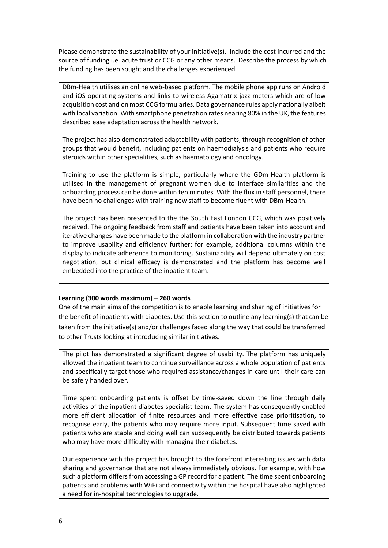Please demonstrate the sustainability of your initiative(s). Include the cost incurred and the source of funding i.e. acute trust or CCG or any other means. Describe the process by which the funding has been sought and the challenges experienced.

DBm-Health utilises an online web-based platform. The mobile phone app runs on Android and iOS operating systems and links to wireless Agamatrix jazz meters which are of low acquisition cost and on most CCG formularies. Data governance rules apply nationally albeit with local variation. With smartphone penetration rates nearing 80% in the UK, the features described ease adaptation across the health network.

The project has also demonstrated adaptability with patients, through recognition of other groups that would benefit, including patients on haemodialysis and patients who require steroids within other specialities, such as haematology and oncology.

Training to use the platform is simple, particularly where the GDm-Health platform is utilised in the management of pregnant women due to interface similarities and the onboarding process can be done within ten minutes. With the flux in staff personnel, there have been no challenges with training new staff to become fluent with DBm-Health.

The project has been presented to the the South East London CCG, which was positively received. The ongoing feedback from staff and patients have been taken into account and iterative changes have been made to the platform in collaboration with the industry partner to improve usability and efficiency further; for example, additional columns within the display to indicate adherence to monitoring. Sustainability will depend ultimately on cost negotiation, but clinical efficacy is demonstrated and the platform has become well embedded into the practice of the inpatient team.

### **Learning (300 words maximum) – 260 words**

One of the main aims of the competition is to enable learning and sharing of initiatives for the benefit of inpatients with diabetes. Use this section to outline any learning(s) that can be taken from the initiative(s) and/or challenges faced along the way that could be transferred to other Trusts looking at introducing similar initiatives.

The pilot has demonstrated a significant degree of usability. The platform has uniquely allowed the inpatient team to continue surveillance across a whole population of patients and specifically target those who required assistance/changes in care until their care can be safely handed over.

Time spent onboarding patients is offset by time-saved down the line through daily activities of the inpatient diabetes specialist team. The system has consequently enabled more efficient allocation of finite resources and more effective case prioritisation, to recognise early, the patients who may require more input. Subsequent time saved with patients who are stable and doing well can subsequently be distributed towards patients who may have more difficulty with managing their diabetes.

Our experience with the project has brought to the forefront interesting issues with data sharing and governance that are not always immediately obvious. For example, with how such a platform differs from accessing a GP record for a patient. The time spent onboarding patients and problems with WiFi and connectivity within the hospital have also highlighted a need for in-hospital technologies to upgrade.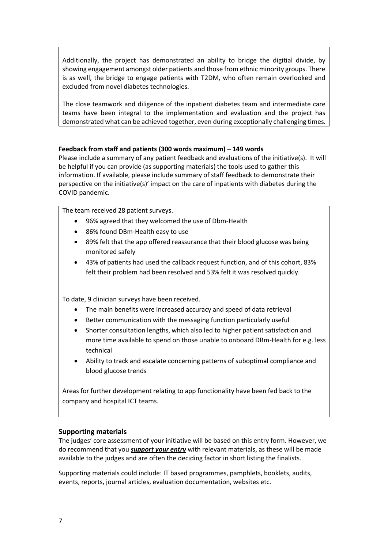Additionally, the project has demonstrated an ability to bridge the digitial divide, by showing engagement amongst older patients and those from ethnic minority groups. There is as well, the bridge to engage patients with T2DM, who often remain overlooked and excluded from novel diabetes technologies.

The close teamwork and diligence of the inpatient diabetes team and intermediate care teams have been integral to the implementation and evaluation and the project has demonstrated what can be achieved together, even during exceptionally challenging times.

# **Feedback from staff and patients (300 words maximum) – 149 words**

Please include a summary of any patient feedback and evaluations of the initiative(s). It will be helpful if you can provide (as supporting materials) the tools used to gather this information. If available, please include summary of staff feedback to demonstrate their perspective on the initiative(s)' impact on the care of inpatients with diabetes during the COVID pandemic.

The team received 28 patient surveys.

- 96% agreed that they welcomed the use of Dbm-Health
- 86% found DBm-Health easy to use
- 89% felt that the app offered reassurance that their blood glucose was being monitored safely
- 43% of patients had used the callback request function, and of this cohort, 83% felt their problem had been resolved and 53% felt it was resolved quickly.

To date, 9 clinician surveys have been received.

- The main benefits were increased accuracy and speed of data retrieval
- Better communication with the messaging function particularly useful
- Shorter consultation lengths, which also led to higher patient satisfaction and more time available to spend on those unable to onboard DBm-Health for e.g. less technical
- Ability to track and escalate concerning patterns of suboptimal compliance and blood glucose trends

Areas for further development relating to app functionality have been fed back to the company and hospital ICT teams.

# **Supporting materials**

The judges' core assessment of your initiative will be based on this entry form. However, we do recommend that you *support your entry* with relevant materials, as these will be made available to the judges and are often the deciding factor in short listing the finalists.

Supporting materials could include: IT based programmes, pamphlets, booklets, audits, events, reports, journal articles, evaluation documentation, websites etc.